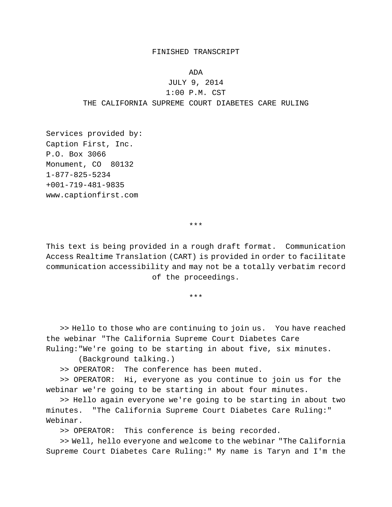## FINISHED TRANSCRIPT

ADA

JULY 9, 2014 1:00 P.M. CST THE CALIFORNIA SUPREME COURT DIABETES CARE RULING

Services provided by: Caption First, Inc. P.O. Box 3066 Monument, CO 80132 1-877-825-5234 +001-719-481-9835 www.captionfirst.com

\*\*\*

This text is being provided in a rough draft format. Communication Access Realtime Translation (CART) is provided in order to facilitate communication accessibility and may not be a totally verbatim record of the proceedings.

\*\*\*

>> Hello to those who are continuing to join us. You have reached the webinar "The California Supreme Court Diabetes Care Ruling:"We're going to be starting in about five, six minutes.

(Background talking.)

>> OPERATOR: The conference has been muted.

>> OPERATOR: Hi, everyone as you continue to join us for the webinar we're going to be starting in about four minutes.

>> Hello again everyone we're going to be starting in about two minutes. "The California Supreme Court Diabetes Care Ruling:" Webinar.

>> OPERATOR: This conference is being recorded.

>> Well, hello everyone and welcome to the webinar "The California Supreme Court Diabetes Care Ruling:" My name is Taryn and I'm the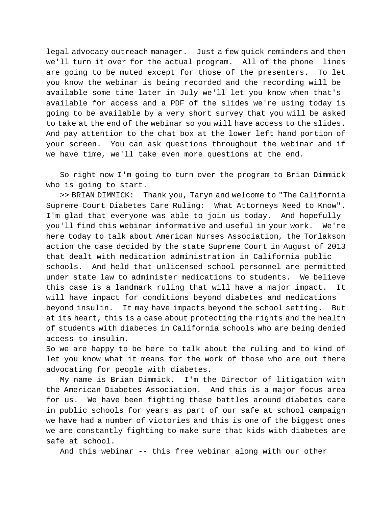legal advocacy outreach manager. Just a few quick reminders and then we'll turn it over for the actual program. All of the phone lines are going to be muted except for those of the presenters. To let you know the webinar is being recorded and the recording will be available some time later in July we'll let you know when that's available for access and a PDF of the slides we're using today is going to be available by a very short survey that you will be asked to take at the end of the webinar so you will have access to the slides. And pay attention to the chat box at the lower left hand portion of your screen. You can ask questions throughout the webinar and if we have time, we'll take even more questions at the end.

So right now I'm going to turn over the program to Brian Dimmick who is going to start.

>> BRIAN DIMMICK: Thank you, Taryn and welcome to "The California Supreme Court Diabetes Care Ruling: What Attorneys Need to Know". I'm glad that everyone was able to join us today. And hopefully you'll find this webinar informative and useful in your work. We're here today to talk about American Nurses Association, the Torlakson action the case decided by the state Supreme Court in August of 2013 that dealt with medication administration in California public schools. And held that unlicensed school personnel are permitted under state law to administer medications to students. We believe this case is a landmark ruling that will have a major impact. It will have impact for conditions beyond diabetes and medications beyond insulin. It may have impacts beyond the school setting. But at its heart, this is a case about protecting the rights and the health of students with diabetes in California schools who are being denied access to insulin.

So we are happy to be here to talk about the ruling and to kind of let you know what it means for the work of those who are out there advocating for people with diabetes.

My name is Brian Dimmick. I'm the Director of litigation with the American Diabetes Association. And this is a major focus area for us. We have been fighting these battles around diabetes care in public schools for years as part of our safe at school campaign we have had a number of victories and this is one of the biggest ones we are constantly fighting to make sure that kids with diabetes are safe at school.

And this webinar -- this free webinar along with our other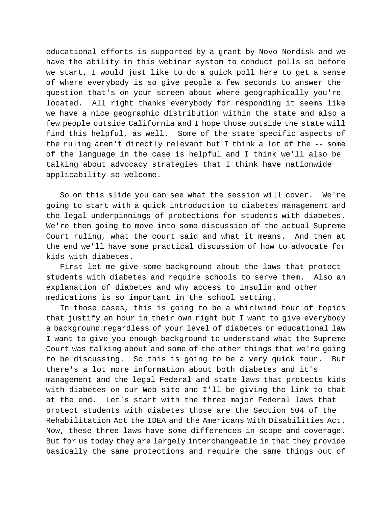educational efforts is supported by a grant by Novo Nordisk and we have the ability in this webinar system to conduct polls so before we start, I would just like to do a quick poll here to get a sense of where everybody is so give people a few seconds to answer the question that's on your screen about where geographically you're located. All right thanks everybody for responding it seems like we have a nice geographic distribution within the state and also a few people outside California and I hope those outside the state will find this helpful, as well. Some of the state specific aspects of the ruling aren't directly relevant but I think a lot of the -- some of the language in the case is helpful and I think we'll also be talking about advocacy strategies that I think have nationwide applicability so welcome.

So on this slide you can see what the session will cover. We're going to start with a quick introduction to diabetes management and the legal underpinnings of protections for students with diabetes. We're then going to move into some discussion of the actual Supreme Court ruling, what the court said and what it means. And then at the end we'll have some practical discussion of how to advocate for kids with diabetes.

First let me give some background about the laws that protect students with diabetes and require schools to serve them. Also an explanation of diabetes and why access to insulin and other medications is so important in the school setting.

In those cases, this is going to be a whirlwind tour of topics that justify an hour in their own right but I want to give everybody a background regardless of your level of diabetes or educational law I want to give you enough background to understand what the Supreme Court was talking about and some of the other things that we're going to be discussing. So this is going to be a very quick tour. But there's a lot more information about both diabetes and it's management and the legal Federal and state laws that protects kids with diabetes on our Web site and I'll be giving the link to that at the end. Let's start with the three major Federal laws that protect students with diabetes those are the Section 504 of the Rehabilitation Act the IDEA and the Americans With Disabilities Act. Now, these three laws have some differences in scope and coverage. But for us today they are largely interchangeable in that they provide basically the same protections and require the same things out of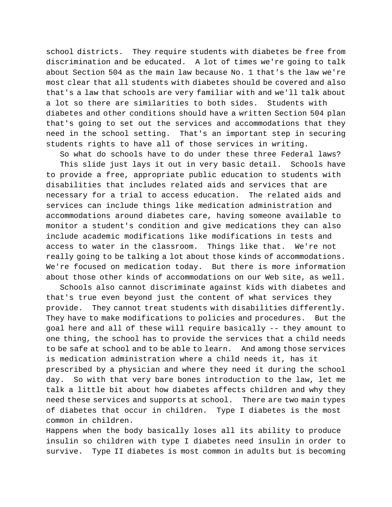school districts. They require students with diabetes be free from discrimination and be educated. A lot of times we're going to talk about Section 504 as the main law because No. 1 that's the law we're most clear that all students with diabetes should be covered and also that's a law that schools are very familiar with and we'll talk about a lot so there are similarities to both sides. Students with diabetes and other conditions should have a written Section 504 plan that's going to set out the services and accommodations that they need in the school setting. That's an important step in securing students rights to have all of those services in writing.

So what do schools have to do under these three Federal laws?

This slide just lays it out in very basic detail. Schools have to provide a free, appropriate public education to students with disabilities that includes related aids and services that are necessary for a trial to access education. The related aids and services can include things like medication administration and accommodations around diabetes care, having someone available to monitor a student's condition and give medications they can also include academic modifications like modifications in tests and access to water in the classroom. Things like that. We're not really going to be talking a lot about those kinds of accommodations. We're focused on medication today. But there is more information about those other kinds of accommodations on our Web site, as well.

Schools also cannot discriminate against kids with diabetes and that's true even beyond just the content of what services they provide. They cannot treat students with disabilities differently. They have to make modifications to policies and procedures. But the goal here and all of these will require basically -- they amount to one thing, the school has to provide the services that a child needs to be safe at school and to be able to learn. And among those services is medication administration where a child needs it, has it prescribed by a physician and where they need it during the school day. So with that very bare bones introduction to the law, let me talk a little bit about how diabetes affects children and why they need these services and supports at school. There are two main types of diabetes that occur in children. Type I diabetes is the most common in children.

Happens when the body basically loses all its ability to produce insulin so children with type I diabetes need insulin in order to survive. Type II diabetes is most common in adults but is becoming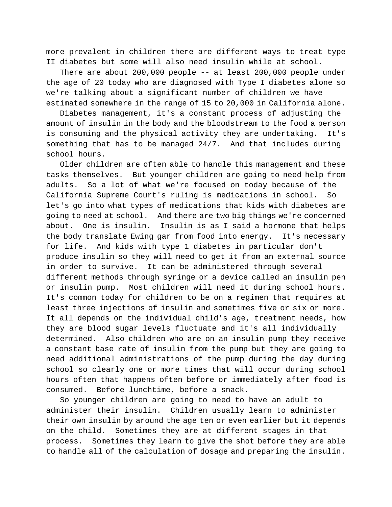more prevalent in children there are different ways to treat type II diabetes but some will also need insulin while at school.

There are about 200,000 people -- at least 200,000 people under the age of 20 today who are diagnosed with Type I diabetes alone so we're talking about a significant number of children we have estimated somewhere in the range of 15 to 20,000 in California alone.

Diabetes management, it's a constant process of adjusting the amount of insulin in the body and the bloodstream to the food a person is consuming and the physical activity they are undertaking. It's something that has to be managed 24/7. And that includes during school hours.

Older children are often able to handle this management and these tasks themselves. But younger children are going to need help from adults. So a lot of what we're focused on today because of the California Supreme Court's ruling is medications in school. So let's go into what types of medications that kids with diabetes are going to need at school. And there are two big things we're concerned about. One is insulin. Insulin is as I said a hormone that helps the body translate Ewing gar from food into energy. It's necessary for life. And kids with type 1 diabetes in particular don't produce insulin so they will need to get it from an external source in order to survive. It can be administered through several different methods through syringe or a device called an insulin pen or insulin pump. Most children will need it during school hours. It's common today for children to be on a regimen that requires at least three injections of insulin and sometimes five or six or more. It all depends on the individual child's age, treatment needs, how they are blood sugar levels fluctuate and it's all individually determined. Also children who are on an insulin pump they receive a constant base rate of insulin from the pump but they are going to need additional administrations of the pump during the day during school so clearly one or more times that will occur during school hours often that happens often before or immediately after food is consumed. Before lunchtime, before a snack.

So younger children are going to need to have an adult to administer their insulin. Children usually learn to administer their own insulin by around the age ten or even earlier but it depends on the child. Sometimes they are at different stages in that process. Sometimes they learn to give the shot before they are able to handle all of the calculation of dosage and preparing the insulin.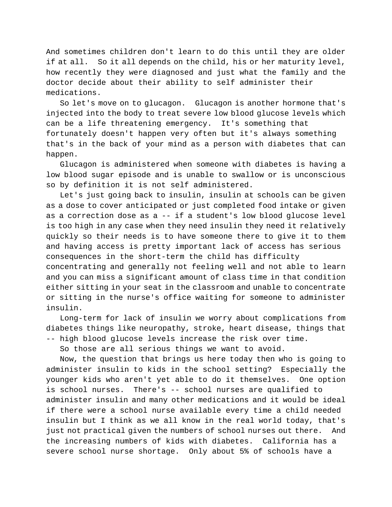And sometimes children don't learn to do this until they are older if at all. So it all depends on the child, his or her maturity level, how recently they were diagnosed and just what the family and the doctor decide about their ability to self administer their medications.

So let's move on to glucagon. Glucagon is another hormone that's injected into the body to treat severe low blood glucose levels which can be a life threatening emergency. It's something that fortunately doesn't happen very often but it's always something that's in the back of your mind as a person with diabetes that can happen.

Glucagon is administered when someone with diabetes is having a low blood sugar episode and is unable to swallow or is unconscious so by definition it is not self administered.

Let's just going back to insulin, insulin at schools can be given as a dose to cover anticipated or just completed food intake or given as a correction dose as a -- if a student's low blood glucose level is too high in any case when they need insulin they need it relatively quickly so their needs is to have someone there to give it to them and having access is pretty important lack of access has serious consequences in the short-term the child has difficulty concentrating and generally not feeling well and not able to learn and you can miss a significant amount of class time in that condition either sitting in your seat in the classroom and unable to concentrate or sitting in the nurse's office waiting for someone to administer insulin.

Long-term for lack of insulin we worry about complications from diabetes things like neuropathy, stroke, heart disease, things that -- high blood glucose levels increase the risk over time.

So those are all serious things we want to avoid.

Now, the question that brings us here today then who is going to administer insulin to kids in the school setting? Especially the younger kids who aren't yet able to do it themselves. One option is school nurses. There's -- school nurses are qualified to administer insulin and many other medications and it would be ideal if there were a school nurse available every time a child needed insulin but I think as we all know in the real world today, that's just not practical given the numbers of school nurses out there. And the increasing numbers of kids with diabetes. California has a severe school nurse shortage. Only about 5% of schools have a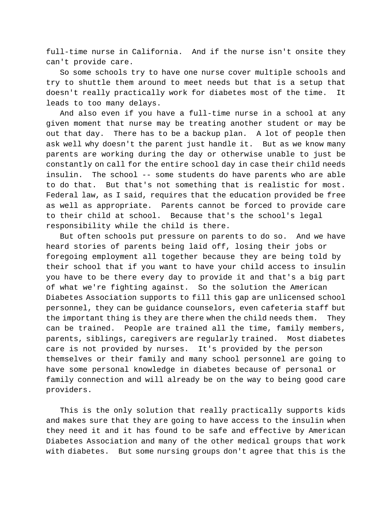full-time nurse in California. And if the nurse isn't onsite they can't provide care.

So some schools try to have one nurse cover multiple schools and try to shuttle them around to meet needs but that is a setup that doesn't really practically work for diabetes most of the time. It leads to too many delays.

And also even if you have a full-time nurse in a school at any given moment that nurse may be treating another student or may be out that day. There has to be a backup plan. A lot of people then ask well why doesn't the parent just handle it. But as we know many parents are working during the day or otherwise unable to just be constantly on call for the entire school day in case their child needs insulin. The school -- some students do have parents who are able to do that. But that's not something that is realistic for most. Federal law, as I said, requires that the education provided be free as well as appropriate. Parents cannot be forced to provide care to their child at school. Because that's the school's legal responsibility while the child is there.

But often schools put pressure on parents to do so. And we have heard stories of parents being laid off, losing their jobs or foregoing employment all together because they are being told by their school that if you want to have your child access to insulin you have to be there every day to provide it and that's a big part of what we're fighting against. So the solution the American Diabetes Association supports to fill this gap are unlicensed school personnel, they can be guidance counselors, even cafeteria staff but the important thing is they are there when the child needs them. They can be trained. People are trained all the time, family members, parents, siblings, caregivers are regularly trained. Most diabetes care is not provided by nurses. It's provided by the person themselves or their family and many school personnel are going to have some personal knowledge in diabetes because of personal or family connection and will already be on the way to being good care providers.

This is the only solution that really practically supports kids and makes sure that they are going to have access to the insulin when they need it and it has found to be safe and effective by American Diabetes Association and many of the other medical groups that work with diabetes. But some nursing groups don't agree that this is the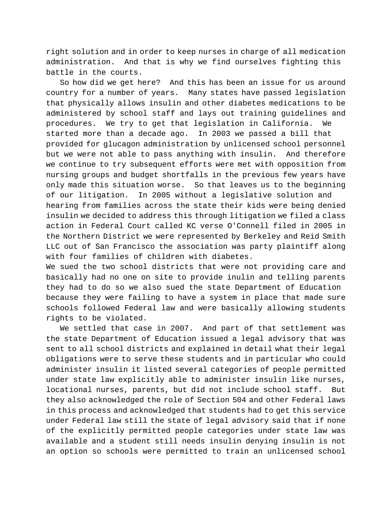right solution and in order to keep nurses in charge of all medication administration. And that is why we find ourselves fighting this battle in the courts.

So how did we get here? And this has been an issue for us around country for a number of years. Many states have passed legislation that physically allows insulin and other diabetes medications to be administered by school staff and lays out training guidelines and procedures. We try to get that legislation in California. We started more than a decade ago. In 2003 we passed a bill that provided for glucagon administration by unlicensed school personnel but we were not able to pass anything with insulin. And therefore we continue to try subsequent efforts were met with opposition from nursing groups and budget shortfalls in the previous few years have only made this situation worse. So that leaves us to the beginning of our litigation. In 2005 without a legislative solution and hearing from families across the state their kids were being denied insulin we decided to address this through litigation we filed a class action in Federal Court called KC verse O'Connell filed in 2005 in the Northern District we were represented by Berkeley and Reid Smith LLC out of San Francisco the association was party plaintiff along with four families of children with diabetes.

We sued the two school districts that were not providing care and basically had no one on site to provide inulin and telling parents they had to do so we also sued the state Department of Education because they were failing to have a system in place that made sure schools followed Federal law and were basically allowing students rights to be violated.

We settled that case in 2007. And part of that settlement was the state Department of Education issued a legal advisory that was sent to all school districts and explained in detail what their legal obligations were to serve these students and in particular who could administer insulin it listed several categories of people permitted under state law explicitly able to administer insulin like nurses, locational nurses, parents, but did not include school staff. But they also acknowledged the role of Section 504 and other Federal laws in this process and acknowledged that students had to get this service under Federal law still the state of legal advisory said that if none of the explicitly permitted people categories under state law was available and a student still needs insulin denying insulin is not an option so schools were permitted to train an unlicensed school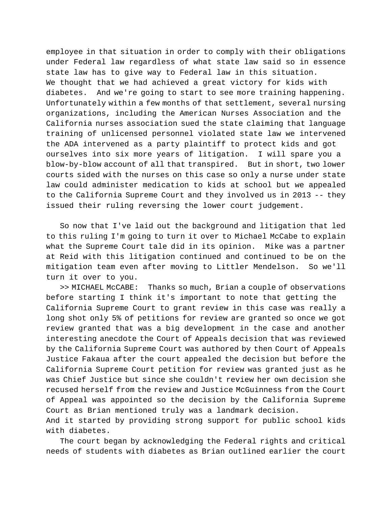employee in that situation in order to comply with their obligations under Federal law regardless of what state law said so in essence state law has to give way to Federal law in this situation. We thought that we had achieved a great victory for kids with diabetes. And we're going to start to see more training happening. Unfortunately within a few months of that settlement, several nursing organizations, including the American Nurses Association and the California nurses association sued the state claiming that language training of unlicensed personnel violated state law we intervened the ADA intervened as a party plaintiff to protect kids and got ourselves into six more years of litigation. I will spare you a blow-by-blow account of all that transpired. But in short, two lower courts sided with the nurses on this case so only a nurse under state law could administer medication to kids at school but we appealed to the California Supreme Court and they involved us in 2013 -- they issued their ruling reversing the lower court judgement.

So now that I've laid out the background and litigation that led to this ruling I'm going to turn it over to Michael McCabe to explain what the Supreme Court tale did in its opinion. Mike was a partner at Reid with this litigation continued and continued to be on the mitigation team even after moving to Littler Mendelson. So we'll turn it over to you.

>> MICHAEL McCABE: Thanks so much, Brian a couple of observations before starting I think it's important to note that getting the California Supreme Court to grant review in this case was really a long shot only 5% of petitions for review are granted so once we got review granted that was a big development in the case and another interesting anecdote the Court of Appeals decision that was reviewed by the California Supreme Court was authored by then Court of Appeals Justice Fakaua after the court appealed the decision but before the California Supreme Court petition for review was granted just as he was Chief Justice but since she couldn't review her own decision she recused herself from the review and Justice McGuinness from the Court of Appeal was appointed so the decision by the California Supreme Court as Brian mentioned truly was a landmark decision. And it started by providing strong support for public school kids

The court began by acknowledging the Federal rights and critical needs of students with diabetes as Brian outlined earlier the court

with diabetes.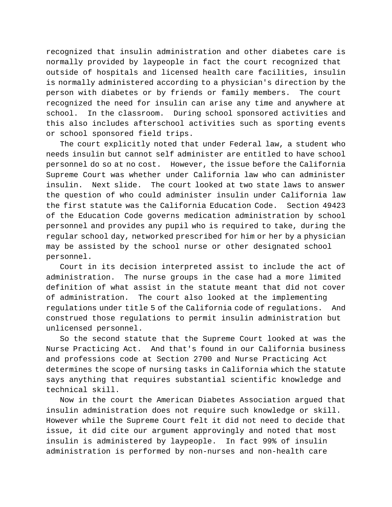recognized that insulin administration and other diabetes care is normally provided by laypeople in fact the court recognized that outside of hospitals and licensed health care facilities, insulin is normally administered according to a physician's direction by the person with diabetes or by friends or family members. The court recognized the need for insulin can arise any time and anywhere at school. In the classroom. During school sponsored activities and this also includes afterschool activities such as sporting events or school sponsored field trips.

The court explicitly noted that under Federal law, a student who needs insulin but cannot self administer are entitled to have school personnel do so at no cost. However, the issue before the California Supreme Court was whether under California law who can administer insulin. Next slide. The court looked at two state laws to answer the question of who could administer insulin under California law the first statute was the California Education Code. Section 49423 of the Education Code governs medication administration by school personnel and provides any pupil who is required to take, during the regular school day, networked prescribed for him or her by a physician may be assisted by the school nurse or other designated school personnel.

Court in its decision interpreted assist to include the act of administration. The nurse groups in the case had a more limited definition of what assist in the statute meant that did not cover of administration. The court also looked at the implementing regulations under title 5 of the California code of regulations. And construed those regulations to permit insulin administration but unlicensed personnel.

So the second statute that the Supreme Court looked at was the Nurse Practicing Act. And that's found in our California business and professions code at Section 2700 and Nurse Practicing Act determines the scope of nursing tasks in California which the statute says anything that requires substantial scientific knowledge and technical skill.

Now in the court the American Diabetes Association argued that insulin administration does not require such knowledge or skill. However while the Supreme Court felt it did not need to decide that issue, it did cite our argument approvingly and noted that most insulin is administered by laypeople. In fact 99% of insulin administration is performed by non-nurses and non-health care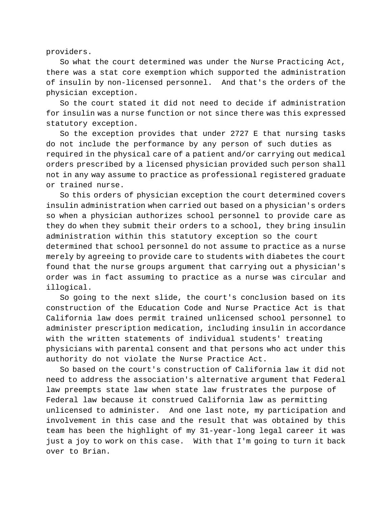providers.

So what the court determined was under the Nurse Practicing Act, there was a stat core exemption which supported the administration of insulin by non-licensed personnel. And that's the orders of the physician exception.

So the court stated it did not need to decide if administration for insulin was a nurse function or not since there was this expressed statutory exception.

So the exception provides that under 2727 E that nursing tasks do not include the performance by any person of such duties as required in the physical care of a patient and/or carrying out medical orders prescribed by a licensed physician provided such person shall not in any way assume to practice as professional registered graduate or trained nurse.

So this orders of physician exception the court determined covers insulin administration when carried out based on a physician's orders so when a physician authorizes school personnel to provide care as they do when they submit their orders to a school, they bring insulin administration within this statutory exception so the court

determined that school personnel do not assume to practice as a nurse merely by agreeing to provide care to students with diabetes the court found that the nurse groups argument that carrying out a physician's order was in fact assuming to practice as a nurse was circular and illogical.

So going to the next slide, the court's conclusion based on its construction of the Education Code and Nurse Practice Act is that California law does permit trained unlicensed school personnel to administer prescription medication, including insulin in accordance with the written statements of individual students' treating physicians with parental consent and that persons who act under this authority do not violate the Nurse Practice Act.

So based on the court's construction of California law it did not need to address the association's alternative argument that Federal law preempts state law when state law frustrates the purpose of Federal law because it construed California law as permitting unlicensed to administer. And one last note, my participation and involvement in this case and the result that was obtained by this team has been the highlight of my 31-year-long legal career it was just a joy to work on this case. With that I'm going to turn it back over to Brian.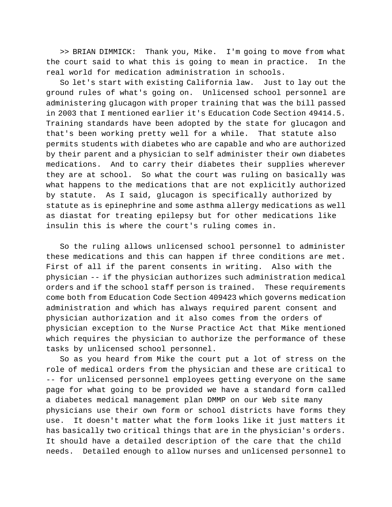>> BRIAN DIMMICK: Thank you, Mike. I'm going to move from what the court said to what this is going to mean in practice. In the real world for medication administration in schools.

So let's start with existing California law. Just to lay out the ground rules of what's going on. Unlicensed school personnel are administering glucagon with proper training that was the bill passed in 2003 that I mentioned earlier it's Education Code Section 49414.5. Training standards have been adopted by the state for glucagon and that's been working pretty well for a while. That statute also permits students with diabetes who are capable and who are authorized by their parent and a physician to self administer their own diabetes medications. And to carry their diabetes their supplies wherever they are at school. So what the court was ruling on basically was what happens to the medications that are not explicitly authorized by statute. As I said, glucagon is specifically authorized by statute as is epinephrine and some asthma allergy medications as well as diastat for treating epilepsy but for other medications like insulin this is where the court's ruling comes in.

So the ruling allows unlicensed school personnel to administer these medications and this can happen if three conditions are met. First of all if the parent consents in writing. Also with the physician -- if the physician authorizes such administration medical orders and if the school staff person is trained. These requirements come both from Education Code Section 409423 which governs medication administration and which has always required parent consent and physician authorization and it also comes from the orders of physician exception to the Nurse Practice Act that Mike mentioned which requires the physician to authorize the performance of these tasks by unlicensed school personnel.

So as you heard from Mike the court put a lot of stress on the role of medical orders from the physician and these are critical to -- for unlicensed personnel employees getting everyone on the same page for what going to be provided we have a standard form called a diabetes medical management plan DMMP on our Web site many physicians use their own form or school districts have forms they use. It doesn't matter what the form looks like it just matters it has basically two critical things that are in the physician's orders. It should have a detailed description of the care that the child needs. Detailed enough to allow nurses and unlicensed personnel to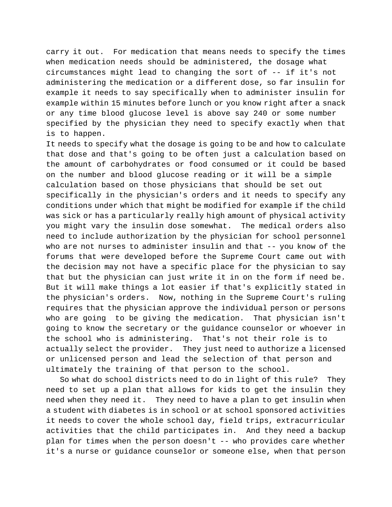carry it out. For medication that means needs to specify the times when medication needs should be administered, the dosage what circumstances might lead to changing the sort of -- if it's not administering the medication or a different dose, so far insulin for example it needs to say specifically when to administer insulin for example within 15 minutes before lunch or you know right after a snack or any time blood glucose level is above say 240 or some number specified by the physician they need to specify exactly when that is to happen.

It needs to specify what the dosage is going to be and how to calculate that dose and that's going to be often just a calculation based on the amount of carbohydrates or food consumed or it could be based on the number and blood glucose reading or it will be a simple calculation based on those physicians that should be set out specifically in the physician's orders and it needs to specify any conditions under which that might be modified for example if the child was sick or has a particularly really high amount of physical activity you might vary the insulin dose somewhat. The medical orders also need to include authorization by the physician for school personnel who are not nurses to administer insulin and that -- you know of the forums that were developed before the Supreme Court came out with the decision may not have a specific place for the physician to say that but the physician can just write it in on the form if need be. But it will make things a lot easier if that's explicitly stated in the physician's orders. Now, nothing in the Supreme Court's ruling requires that the physician approve the individual person or persons who are going to be giving the medication. That physician isn't going to know the secretary or the guidance counselor or whoever in the school who is administering. That's not their role is to actually select the provider. They just need to authorize a licensed or unlicensed person and lead the selection of that person and ultimately the training of that person to the school.

So what do school districts need to do in light of this rule? They need to set up a plan that allows for kids to get the insulin they need when they need it. They need to have a plan to get insulin when a student with diabetes is in school or at school sponsored activities it needs to cover the whole school day, field trips, extracurricular activities that the child participates in. And they need a backup plan for times when the person doesn't -- who provides care whether it's a nurse or guidance counselor or someone else, when that person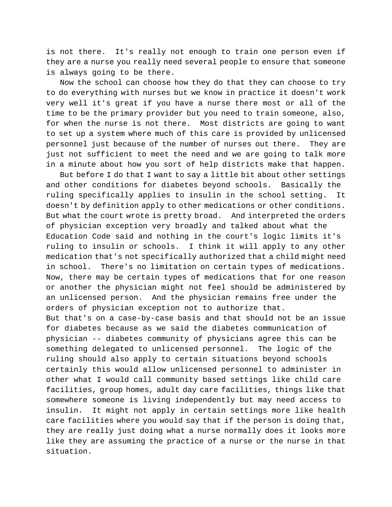is not there. It's really not enough to train one person even if they are a nurse you really need several people to ensure that someone is always going to be there.

Now the school can choose how they do that they can choose to try to do everything with nurses but we know in practice it doesn't work very well it's great if you have a nurse there most or all of the time to be the primary provider but you need to train someone, also, for when the nurse is not there. Most districts are going to want to set up a system where much of this care is provided by unlicensed personnel just because of the number of nurses out there. They are just not sufficient to meet the need and we are going to talk more in a minute about how you sort of help districts make that happen.

But before I do that I want to say a little bit about other settings and other conditions for diabetes beyond schools. Basically the ruling specifically applies to insulin in the school setting. It doesn't by definition apply to other medications or other conditions. But what the court wrote is pretty broad. And interpreted the orders of physician exception very broadly and talked about what the Education Code said and nothing in the court's logic limits it's ruling to insulin or schools. I think it will apply to any other medication that's not specifically authorized that a child might need in school. There's no limitation on certain types of medications. Now, there may be certain types of medications that for one reason or another the physician might not feel should be administered by an unlicensed person. And the physician remains free under the orders of physician exception not to authorize that. But that's on a case-by-case basis and that should not be an issue for diabetes because as we said the diabetes communication of physician -- diabetes community of physicians agree this can be something delegated to unlicensed personnel. The logic of the ruling should also apply to certain situations beyond schools certainly this would allow unlicensed personnel to administer in other what I would call community based settings like child care facilities, group homes, adult day care facilities, things like that somewhere someone is living independently but may need access to insulin. It might not apply in certain settings more like health care facilities where you would say that if the person is doing that, they are really just doing what a nurse normally does it looks more like they are assuming the practice of a nurse or the nurse in that situation.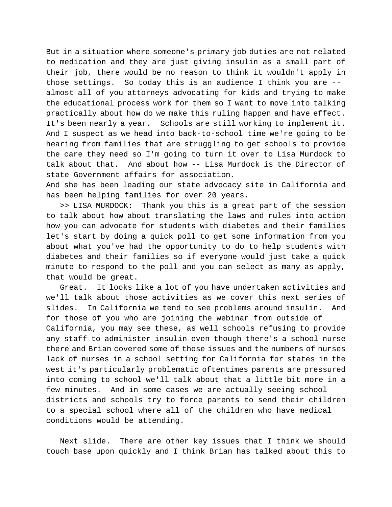But in a situation where someone's primary job duties are not related to medication and they are just giving insulin as a small part of their job, there would be no reason to think it wouldn't apply in those settings. So today this is an audience I think you are - almost all of you attorneys advocating for kids and trying to make the educational process work for them so I want to move into talking practically about how do we make this ruling happen and have effect. It's been nearly a year. Schools are still working to implement it. And I suspect as we head into back-to-school time we're going to be hearing from families that are struggling to get schools to provide the care they need so I'm going to turn it over to Lisa Murdock to talk about that. And about how -- Lisa Murdock is the Director of state Government affairs for association.

And she has been leading our state advocacy site in California and has been helping families for over 20 years.

>> LISA MURDOCK: Thank you this is a great part of the session to talk about how about translating the laws and rules into action how you can advocate for students with diabetes and their families let's start by doing a quick poll to get some information from you about what you've had the opportunity to do to help students with diabetes and their families so if everyone would just take a quick minute to respond to the poll and you can select as many as apply, that would be great.

Great. It looks like a lot of you have undertaken activities and we'll talk about those activities as we cover this next series of slides. In California we tend to see problems around insulin. And for those of you who are joining the webinar from outside of California, you may see these, as well schools refusing to provide any staff to administer insulin even though there's a school nurse there and Brian covered some of those issues and the numbers of nurses lack of nurses in a school setting for California for states in the west it's particularly problematic oftentimes parents are pressured into coming to school we'll talk about that a little bit more in a few minutes. And in some cases we are actually seeing school districts and schools try to force parents to send their children to a special school where all of the children who have medical conditions would be attending.

Next slide. There are other key issues that I think we should touch base upon quickly and I think Brian has talked about this to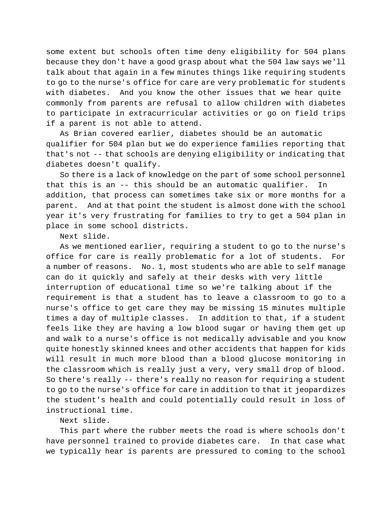some extent but schools often time deny eligibility for 504 plans because they don't have a good grasp about what the 504 law says we'll talk about that again in a few minutes things like requiring students to go to the nurse's office for care are very problematic for students with diabetes. And you know the other issues that we hear quite commonly from parents are refusal to allow children with diabetes to participate in extracurricular activities or go on field trips if a parent is not able to attend.

As Brian covered earlier, diabetes should be an automatic qualifier for 504 plan but we do experience families reporting that that's not -- that schools are denying eligibility or indicating that diabetes doesn't qualify.

So there is a lack of knowledge on the part of some school personnel that this is an -- this should be an automatic qualifier. In addition, that process can sometimes take six or more months for a parent. And at that point the student is almost done with the school year it's very frustrating for families to try to get a 504 plan in place in some school districts.

Next slide.

As we mentioned earlier, requiring a student to go to the nurse's office for care is really problematic for a lot of students. For a number of reasons. No. 1, most students who are able to self manage can do it quickly and safely at their desks with very little interruption of educational time so we're talking about if the requirement is that a student has to leave a classroom to go to a nurse's office to get care they may be missing 15 minutes multiple times a day of multiple classes. In addition to that, if a student feels like they are having a low blood sugar or having them get up and walk to a nurse's office is not medically advisable and you know quite honestly skinned knees and other accidents that happen for kids will result in much more blood than a blood glucose monitoring in the classroom which is really just a very, very small drop of blood. So there's really -- there's really no reason for requiring a student to go to the nurse's office for care in addition to that it jeopardizes the student's health and could potentially could result in loss of instructional time.

## Next slide.

This part where the rubber meets the road is where schools don't have personnel trained to provide diabetes care. In that case what we typically hear is parents are pressured to coming to the school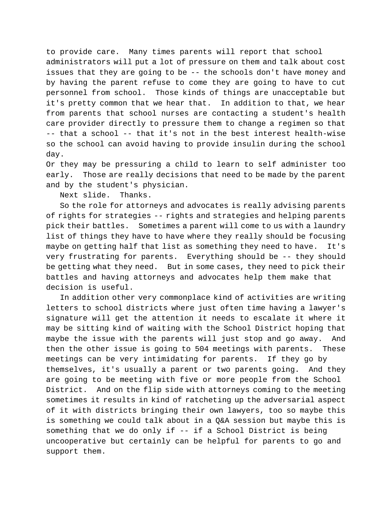to provide care. Many times parents will report that school administrators will put a lot of pressure on them and talk about cost issues that they are going to be -- the schools don't have money and by having the parent refuse to come they are going to have to cut personnel from school. Those kinds of things are unacceptable but it's pretty common that we hear that. In addition to that, we hear from parents that school nurses are contacting a student's health care provider directly to pressure them to change a regimen so that -- that a school -- that it's not in the best interest health-wise so the school can avoid having to provide insulin during the school day.

Or they may be pressuring a child to learn to self administer too early. Those are really decisions that need to be made by the parent and by the student's physician.

Next slide. Thanks.

So the role for attorneys and advocates is really advising parents of rights for strategies -- rights and strategies and helping parents pick their battles. Sometimes a parent will come to us with a laundry list of things they have to have where they really should be focusing maybe on getting half that list as something they need to have. It's very frustrating for parents. Everything should be -- they should be getting what they need. But in some cases, they need to pick their battles and having attorneys and advocates help them make that decision is useful.

In addition other very commonplace kind of activities are writing letters to school districts where just often time having a lawyer's signature will get the attention it needs to escalate it where it may be sitting kind of waiting with the School District hoping that maybe the issue with the parents will just stop and go away. And then the other issue is going to 504 meetings with parents. These meetings can be very intimidating for parents. If they go by themselves, it's usually a parent or two parents going. And they are going to be meeting with five or more people from the School District. And on the flip side with attorneys coming to the meeting sometimes it results in kind of ratcheting up the adversarial aspect of it with districts bringing their own lawyers, too so maybe this is something we could talk about in a Q&A session but maybe this is something that we do only if -- if a School District is being uncooperative but certainly can be helpful for parents to go and support them.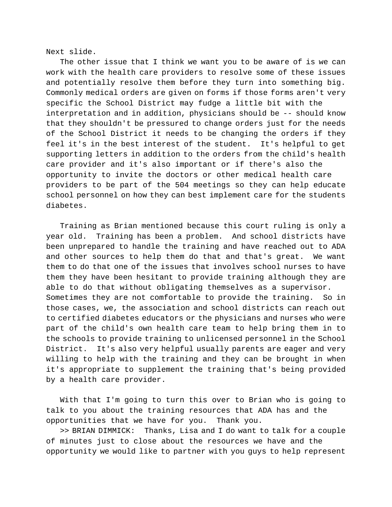Next slide.

The other issue that I think we want you to be aware of is we can work with the health care providers to resolve some of these issues and potentially resolve them before they turn into something big. Commonly medical orders are given on forms if those forms aren't very specific the School District may fudge a little bit with the interpretation and in addition, physicians should be -- should know that they shouldn't be pressured to change orders just for the needs of the School District it needs to be changing the orders if they feel it's in the best interest of the student. It's helpful to get supporting letters in addition to the orders from the child's health care provider and it's also important or if there's also the opportunity to invite the doctors or other medical health care providers to be part of the 504 meetings so they can help educate school personnel on how they can best implement care for the students diabetes.

Training as Brian mentioned because this court ruling is only a year old. Training has been a problem. And school districts have been unprepared to handle the training and have reached out to ADA and other sources to help them do that and that's great. We want them to do that one of the issues that involves school nurses to have them they have been hesitant to provide training although they are able to do that without obligating themselves as a supervisor. Sometimes they are not comfortable to provide the training. So in those cases, we, the association and school districts can reach out to certified diabetes educators or the physicians and nurses who were part of the child's own health care team to help bring them in to the schools to provide training to unlicensed personnel in the School District. It's also very helpful usually parents are eager and very willing to help with the training and they can be brought in when it's appropriate to supplement the training that's being provided by a health care provider.

With that I'm going to turn this over to Brian who is going to talk to you about the training resources that ADA has and the opportunities that we have for you. Thank you.

>> BRIAN DIMMICK: Thanks, Lisa and I do want to talk for a couple of minutes just to close about the resources we have and the opportunity we would like to partner with you guys to help represent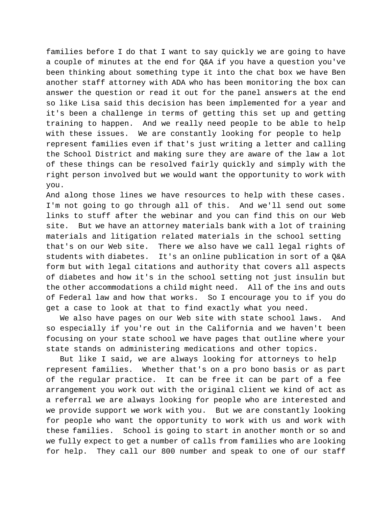families before I do that I want to say quickly we are going to have a couple of minutes at the end for Q&A if you have a question you've been thinking about something type it into the chat box we have Ben another staff attorney with ADA who has been monitoring the box can answer the question or read it out for the panel answers at the end so like Lisa said this decision has been implemented for a year and it's been a challenge in terms of getting this set up and getting training to happen. And we really need people to be able to help with these issues. We are constantly looking for people to help represent families even if that's just writing a letter and calling the School District and making sure they are aware of the law a lot of these things can be resolved fairly quickly and simply with the right person involved but we would want the opportunity to work with you.

And along those lines we have resources to help with these cases. I'm not going to go through all of this. And we'll send out some links to stuff after the webinar and you can find this on our Web site. But we have an attorney materials bank with a lot of training materials and litigation related materials in the school setting that's on our Web site. There we also have we call legal rights of students with diabetes. It's an online publication in sort of a Q&A form but with legal citations and authority that covers all aspects of diabetes and how it's in the school setting not just insulin but the other accommodations a child might need. All of the ins and outs of Federal law and how that works. So I encourage you to if you do get a case to look at that to find exactly what you need.

We also have pages on our Web site with state school laws. And so especially if you're out in the California and we haven't been focusing on your state school we have pages that outline where your state stands on administering medications and other topics.

But like I said, we are always looking for attorneys to help represent families. Whether that's on a pro bono basis or as part of the regular practice. It can be free it can be part of a fee arrangement you work out with the original client we kind of act as a referral we are always looking for people who are interested and we provide support we work with you. But we are constantly looking for people who want the opportunity to work with us and work with these families. School is going to start in another month or so and we fully expect to get a number of calls from families who are looking for help. They call our 800 number and speak to one of our staff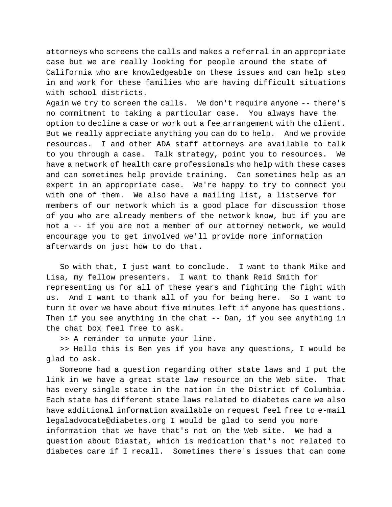attorneys who screens the calls and makes a referral in an appropriate case but we are really looking for people around the state of California who are knowledgeable on these issues and can help step in and work for these families who are having difficult situations with school districts.

Again we try to screen the calls. We don't require anyone -- there's no commitment to taking a particular case. You always have the option to decline a case or work out a fee arrangement with the client. But we really appreciate anything you can do to help. And we provide resources. I and other ADA staff attorneys are available to talk to you through a case. Talk strategy, point you to resources. We have a network of health care professionals who help with these cases and can sometimes help provide training. Can sometimes help as an expert in an appropriate case. We're happy to try to connect you with one of them. We also have a mailing list, a listserve for members of our network which is a good place for discussion those of you who are already members of the network know, but if you are not a -- if you are not a member of our attorney network, we would encourage you to get involved we'll provide more information afterwards on just how to do that.

So with that, I just want to conclude. I want to thank Mike and Lisa, my fellow presenters. I want to thank Reid Smith for representing us for all of these years and fighting the fight with us. And I want to thank all of you for being here. So I want to turn it over we have about five minutes left if anyone has questions. Then if you see anything in the chat -- Dan, if you see anything in the chat box feel free to ask.

>> A reminder to unmute your line.

>> Hello this is Ben yes if you have any questions, I would be glad to ask.

Someone had a question regarding other state laws and I put the link in we have a great state law resource on the Web site. That has every single state in the nation in the District of Columbia. Each state has different state laws related to diabetes care we also have additional information available on request feel free to e-mail legaladvocate@diabetes.org I would be glad to send you more information that we have that's not on the Web site. We had a question about Diastat, which is medication that's not related to diabetes care if I recall. Sometimes there's issues that can come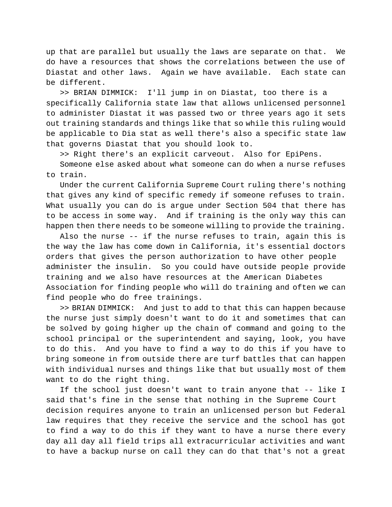up that are parallel but usually the laws are separate on that. do have a resources that shows the correlations between the use of Diastat and other laws. Again we have available. Each state can be different.

>> BRIAN DIMMICK: I'll jump in on Diastat, too there is a specifically California state law that allows unlicensed personnel to administer Diastat it was passed two or three years ago it sets out training standards and things like that so while this ruling would be applicable to Dia stat as well there's also a specific state law that governs Diastat that you should look to.

>> Right there's an explicit carveout. Also for EpiPens.

Someone else asked about what someone can do when a nurse refuses to train.

Under the current California Supreme Court ruling there's nothing that gives any kind of specific remedy if someone refuses to train. What usually you can do is argue under Section 504 that there has to be access in some way. And if training is the only way this can happen then there needs to be someone willing to provide the training.

Also the nurse -- if the nurse refuses to train, again this is the way the law has come down in California, it's essential doctors orders that gives the person authorization to have other people administer the insulin. So you could have outside people provide training and we also have resources at the American Diabetes Association for finding people who will do training and often we can find people who do free trainings.

>> BRIAN DIMMICK: And just to add to that this can happen because the nurse just simply doesn't want to do it and sometimes that can be solved by going higher up the chain of command and going to the school principal or the superintendent and saying, look, you have to do this. And you have to find a way to do this if you have to bring someone in from outside there are turf battles that can happen with individual nurses and things like that but usually most of them want to do the right thing.

If the school just doesn't want to train anyone that -- like I said that's fine in the sense that nothing in the Supreme Court decision requires anyone to train an unlicensed person but Federal law requires that they receive the service and the school has got to find a way to do this if they want to have a nurse there every day all day all field trips all extracurricular activities and want to have a backup nurse on call they can do that that's not a great